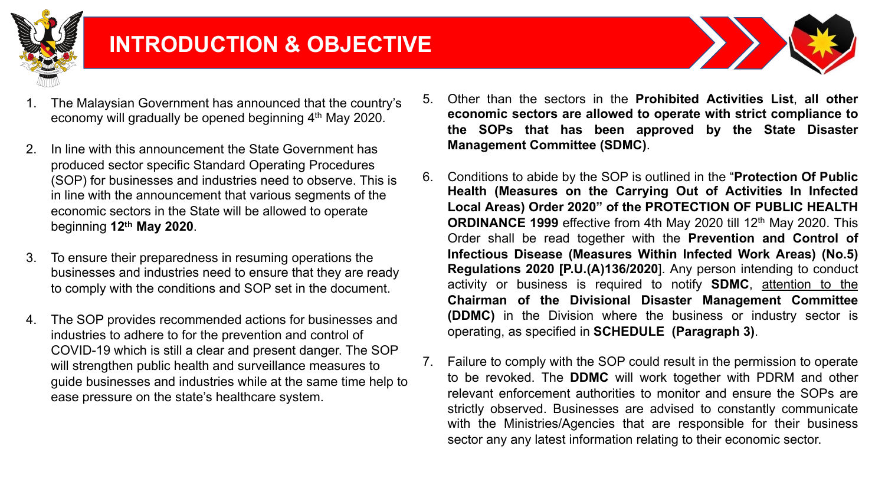

# **INTRODUCTION & OBJECTIVE**



- The Malaysian Government has announced that the country's economy will gradually be opened beginning 4th May 2020.
- 2. In line with this announcement the State Government has produced sector specific Standard Operating Procedures (SOP) for businesses and industries need to observe. This is in line with the announcement that various segments of the economic sectors in the State will be allowed to operate beginning **12th May 2020**.
- 3. To ensure their preparedness in resuming operations the businesses and industries need to ensure that they are ready to comply with the conditions and SOP set in the document.
- 4. The SOP provides recommended actions for businesses and industries to adhere to for the prevention and control of COVID-19 which is still a clear and present danger. The SOP will strengthen public health and surveillance measures to guide businesses and industries while at the same time help to ease pressure on the state's healthcare system.
- 5. Other than the sectors in the **Prohibited Activities List**, **all other economic sectors are allowed to operate with strict compliance to the SOPs that has been approved by the State Disaster Management Committee (SDMC)**.
- 6. Conditions to abide by the SOP is outlined in the "**Protection Of Public Health (Measures on the Carrying Out of Activities In Infected Local Areas) Order 2020" of the PROTECTION OF PUBLIC HEALTH ORDINANCE 1999** effective from 4th May 2020 till 12th May 2020. This Order shall be read together with the **Prevention and Control of Infectious Disease (Measures Within Infected Work Areas) (No.5) Regulations 2020 [P.U.(A)136/2020**]. Any person intending to conduct activity or business is required to notify **SDMC**, attention to the **Chairman of the Divisional Disaster Management Committee (DDMC)** in the Division where the business or industry sector is operating, as specified in **SCHEDULE (Paragraph 3)**.
- 7. Failure to comply with the SOP could result in the permission to operate to be revoked. The **DDMC** will work together with PDRM and other relevant enforcement authorities to monitor and ensure the SOPs are strictly observed. Businesses are advised to constantly communicate with the Ministries/Agencies that are responsible for their business sector any any latest information relating to their economic sector.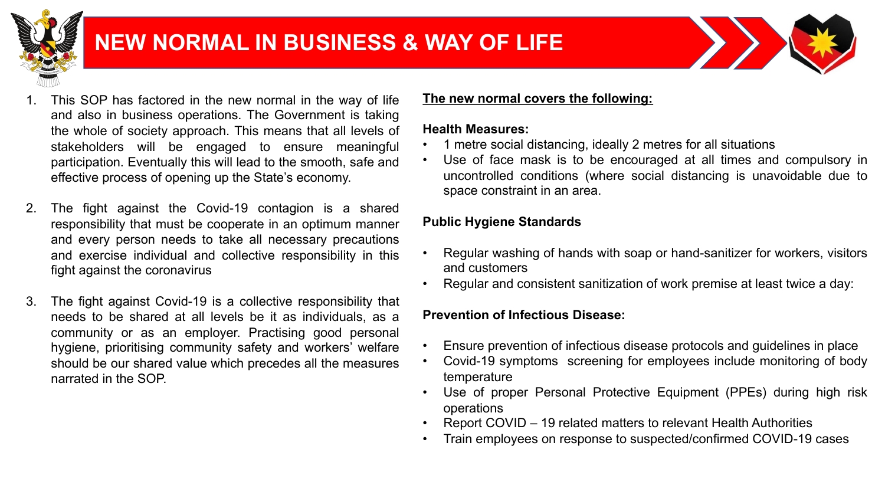

# **NEW NORMAL IN BUSINESS & WAY OF LIFE**



- This SOP has factored in the new normal in the way of life and also in business operations. The Government is taking the whole of society approach. This means that all levels of stakeholders will be engaged to ensure meaningful participation. Eventually this will lead to the smooth, safe and effective process of opening up the State's economy.
- 2. The fight against the Covid-19 contagion is a shared responsibility that must be cooperate in an optimum manner and every person needs to take all necessary precautions and exercise individual and collective responsibility in this fight against the coronavirus
- 3. The fight against Covid-19 is a collective responsibility that needs to be shared at all levels be it as individuals, as a community or as an employer. Practising good personal hygiene, prioritising community safety and workers' welfare should be our shared value which precedes all the measures narrated in the SOP.

### **The new normal covers the following:**

#### **Health Measures:**

- 1 metre social distancing, ideally 2 metres for all situations
- Use of face mask is to be encouraged at all times and compulsory in uncontrolled conditions (where social distancing is unavoidable due to space constraint in an area.

# **Public Hygiene Standards**

- Regular washing of hands with soap or hand-sanitizer for workers, visitors and customers
- Regular and consistent sanitization of work premise at least twice a day:

# **Prevention of Infectious Disease:**

- Ensure prevention of infectious disease protocols and guidelines in place
- Covid-19 symptoms screening for employees include monitoring of body temperature
- Use of proper Personal Protective Equipment (PPEs) during high risk operations
- Report COVID 19 related matters to relevant Health Authorities
- Train employees on response to suspected/confirmed COVID-19 cases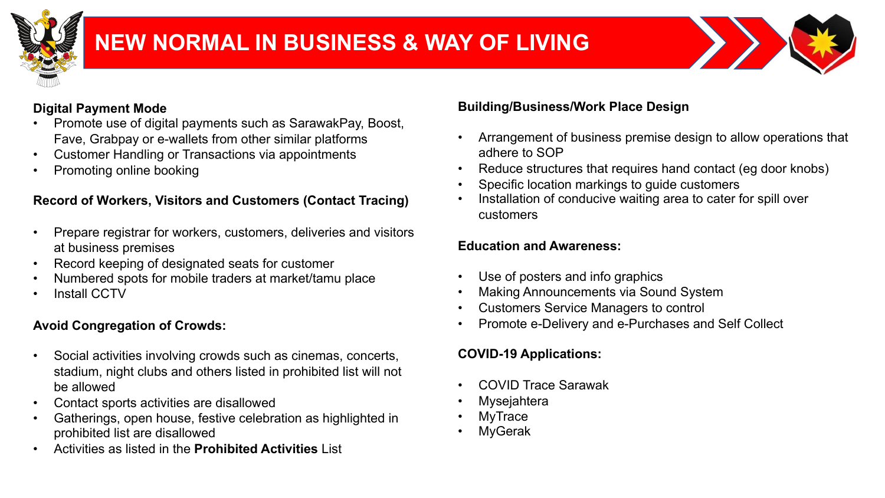

# **NEW NORMAL IN BUSINESS & WAY OF LIVING**



# **Digital Payment Mode**

- Promote use of digital payments such as SarawakPay, Boost, Fave, Grabpay or e-wallets from other similar platforms
- Customer Handling or Transactions via appointments
- Promoting online booking

# **Record of Workers, Visitors and Customers (Contact Tracing)**

- Prepare registrar for workers, customers, deliveries and visitors at business premises
- Record keeping of designated seats for customer
- Numbered spots for mobile traders at market/tamu place
- Install CCTV

## **Avoid Congregation of Crowds:**

- Social activities involving crowds such as cinemas, concerts, stadium, night clubs and others listed in prohibited list will not be allowed
- Contact sports activities are disallowed
- Gatherings, open house, festive celebration as highlighted in prohibited list are disallowed
- Activities as listed in the **Prohibited Activities** List

# **Building/Business/Work Place Design**

- Arrangement of business premise design to allow operations that adhere to SOP
- Reduce structures that requires hand contact (eg door knobs)
- Specific location markings to quide customers
- Installation of conducive waiting area to cater for spill over customers

## **Education and Awareness:**

- Use of posters and info graphics
- Making Announcements via Sound System
- Customers Service Managers to control
- Promote e-Delivery and e-Purchases and Self Collect

# **COVID-19 Applications:**

- COVID Trace Sarawak
- **Mysejahtera**
- **MyTrace**
- **MyGerak**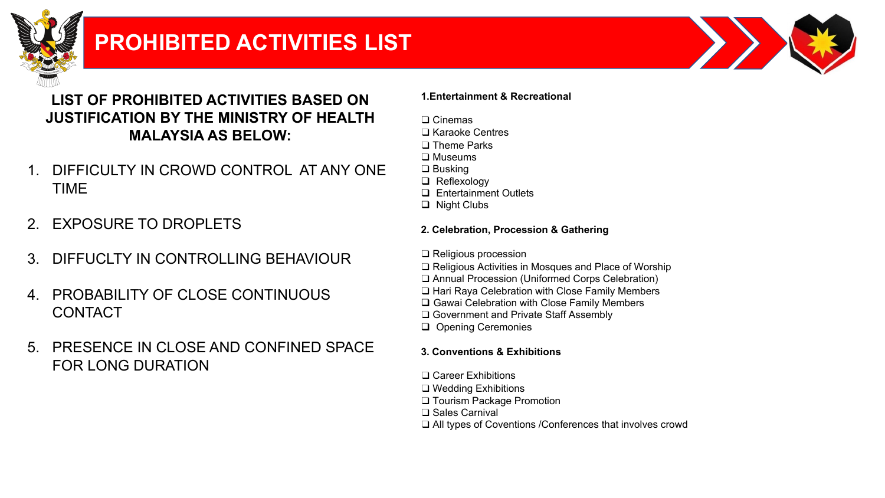

# **PROHIBITED ACTIVITIES LIST**



# **LIST OF PROHIBITED ACTIVITIES BASED ON JUSTIFICATION BY THE MINISTRY OF HEALTH MALAYSIA AS BELOW:**

- 1. DIFFICULTY IN CROWD CONTROL AT ANY ONE TIME
- 2. EXPOSURE TO DROPLETS
- 3. DIFFUCLTY IN CONTROLLING BEHAVIOUR
- 4. PROBABILITY OF CLOSE CONTINUOUS **CONTACT**
- 5. PRESENCE IN CLOSE AND CONFINED SPACE FOR LONG DURATION

#### **1.Entertainment & Recreational**

- ❑ Cinemas
- ❑ Karaoke Centres
- ❑ Theme Parks
- ❑ Museums
- ❑ Busking
- $\Box$  Reflexology
- □ Entertainment Outlets
- $\Box$  Night Clubs

#### **2. Celebration, Procession & Gathering**

- ❑ Religious procession
- ❑ Religious Activities in Mosques and Place of Worship
- ❑ Annual Procession (Uniformed Corps Celebration)
- ❑ Hari Raya Celebration with Close Family Members
- $\square$  Gawai Celebration with Close Family Members
- ❑ Government and Private Staff Assembly
- **Q** Opening Ceremonies

## **3. Conventions & Exhibitions**

- ❑ Career Exhibitions
- ❑ Wedding Exhibitions
- ❑ Tourism Package Promotion
- ❑ Sales Carnival
- ❑ All types of Coventions /Conferences that involves crowd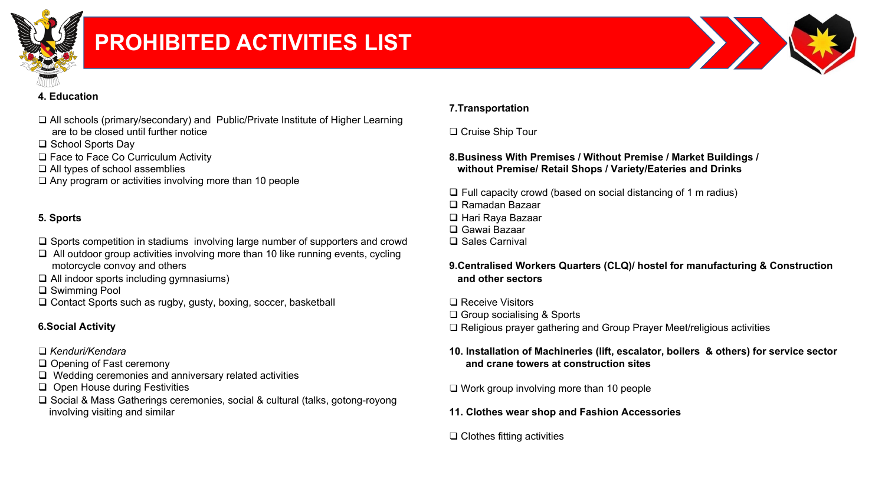

# **PROHIBITED ACTIVITIES LIST**



#### **4. Education**

- ❑ All schools (primary/secondary) and Public/Private Institute of Higher Learning are to be closed until further notice
- □ School Sports Day
- ❑ Face to Face Co Curriculum Activity
- ❑ All types of school assemblies
- ❑ Any program or activities involving more than 10 people

#### **5. Sports**

- $\Box$  Sports competition in stadiums involving large number of supporters and crowd
- $\Box$  All outdoor group activities involving more than 10 like running events, cycling motorcycle convoy and others
- $\Box$  All indoor sports including gymnasiums)
- **□** Swimming Pool
- $\Box$  Contact Sports such as rugby, gusty, boxing, soccer, basketball

#### **6.Social Activity**

- ❑ *Kenduri/Kendara*
- $\Box$  Opening of Fast ceremony
- $\Box$  Wedding ceremonies and anniversary related activities
- $\Box$  Open House during Festivities
- □ Social & Mass Gatherings ceremonies, social & cultural (talks, gotong-royong involving visiting and similar

#### **7.Transportation**

#### ❑ Cruise Ship Tour

#### **8.Business With Premises / Without Premise / Market Buildings / without Premise/ Retail Shops / Variety/Eateries and Drinks**

 $\Box$  Full capacity crowd (based on social distancing of 1 m radius) □ Ramadan Bazaar □ Hari Raya Bazaar □ Gawai Bazaar  $\square$  Sales Carnival

#### **9.Centralised Workers Quarters (CLQ)/ hostel for manufacturing & Construction and other sectors**

❑ Receive Visitors ❑ Group socialising & Sports ❑ Religious prayer gathering and Group Prayer Meet/religious activities

#### **10. Installation of Machineries (lift, escalator, boilers & others) for service sector and crane towers at construction sites**

❑ Work group involving more than 10 people

**11. Clothes wear shop and Fashion Accessories**

#### ❑ Clothes fitting activities